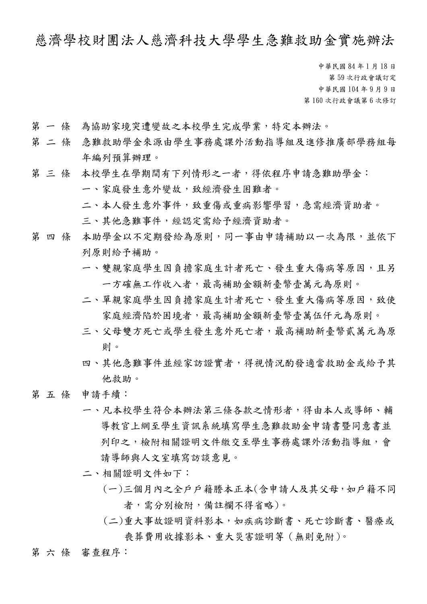## 慈濟學校財團法人慈濟科技大學學生急難救助金實施辦法

中華民國 84 年 1 月 18 日 第 59 次行政會議訂定 中華民國 104 年 9 月 9 日 第 160 次行政會議第 6 次修訂

- 第 一 條 為協助家境突遭變故之本校學生完成學業,特定本辦法。
- 第 二 條 急難救助學金來源由學生事務處課外活動指導組及進修推廣部學務組每 年編列預算辦理。
- 第 三 條 本校學生在學期間有下列情形之一者,得依程序申請急難助學金: 一、家庭發生意外變故,致經濟發生困難者。 二、本人發生意外事件,致重傷或重病影響學習,急需經濟資助者。
	- 三、其他急難事件,經認定需給予經濟資助者。
- 第 四 條 本助學金以不定期發給為原則,同一事由申請補助以一次為限,並依下 列原則給予補助。
	- 一、雙親家庭學生因負擔家庭生計者死亡、發生重大傷病等原因,且另 一方確無工作收入者,最高補助金額新臺幣壹萬元為原則。
	- 二、單親家庭學生因負擔家庭生計者死亡、發生重大傷病等原因,致使 家庭經濟陷於困境者,最高補助金額新臺幣壹萬伍仟元為原則。
	- 三、父母雙方死亡或學生發生意外死亡者,最高補助新臺幣貳萬元為原 則。
	- 四、其他急難事件並經家訪證實者,得視情況酌發適當救助金或給予其 他救助。
- 第 五 條 申請手續:
	- 一、凡本校學生符合本辦法第三條各款之情形者,得由本人或導師、輔 導教官上網至學生資訊系統填寫學生急難救助金申請書暨同意書並 列印之,檢附相關證明文件繳交至學生事務處課外活動指導組,會 請導師與人文室填寫訪談意見。
	- 二、相關證明文件如下:
		- (一)三個月內之全戶戶籍謄本正本(含申請人及其父母,如戶籍不同 者,需分別檢附,備註欄不得省略)。
		- (二)重大事故證明資料影本,如疾病診斷書、死亡診斷書、醫療或 喪葬費用收據影本、重大災害證明等(無則免附)。
- 第六條 審查程序: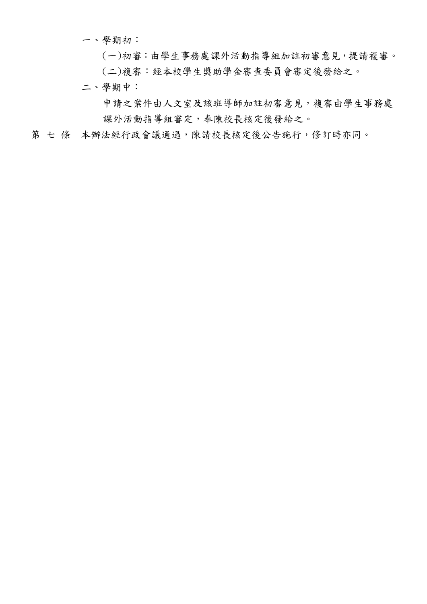一、學期初:

(一)初審:由學生事務處課外活動指導組加註初審意見,提請複審。 (二)複審:經本校學生獎助學金審查委員會審定後發給之。

二、學期中:

申請之案件由人文室及該班導師加註初審意見,複審由學生事務處 課外活動指導組審定,奉陳校長核定後發給之。

第七條 本辦法經行政會議通過,陳請校長核定後公告施行,修訂時亦同。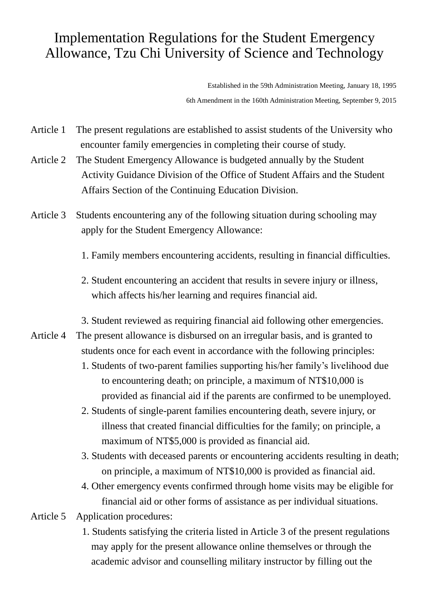## Implementation Regulations for the Student Emergency Allowance, Tzu Chi University of Science and Technology

Established in the 59th Administration Meeting, January 18, 1995 6th Amendment in the 160th Administration Meeting, September 9, 2015

- Article 1 The present regulations are established to assist students of the University who encounter family emergencies in completing their course of study.
- Article 2 The Student Emergency Allowance is budgeted annually by the Student Activity Guidance Division of the Office of Student Affairs and the Student Affairs Section of the Continuing Education Division.
- Article 3 Students encountering any of the following situation during schooling may apply for the Student Emergency Allowance:
	- 1. Family members encountering accidents, resulting in financial difficulties.
	- 2. Student encountering an accident that results in severe injury or illness, which affects his/her learning and requires financial aid.
	- 3. Student reviewed as requiring financial aid following other emergencies.
- Article 4 The present allowance is disbursed on an irregular basis, and is granted to students once for each event in accordance with the following principles:
	- 1. Students of two-parent families supporting his/her family's livelihood due to encountering death; on principle, a maximum of NT\$10,000 is provided as financial aid if the parents are confirmed to be unemployed.
	- 2. Students of single-parent families encountering death, severe injury, or illness that created financial difficulties for the family; on principle, a maximum of NT\$5,000 is provided as financial aid.
	- 3. Students with deceased parents or encountering accidents resulting in death; on principle, a maximum of NT\$10,000 is provided as financial aid.
	- 4. Other emergency events confirmed through home visits may be eligible for financial aid or other forms of assistance as per individual situations.
- Article 5 Application procedures:
	- 1. Students satisfying the criteria listed in Article 3 of the present regulations may apply for the present allowance online themselves or through the academic advisor and counselling military instructor by filling out the